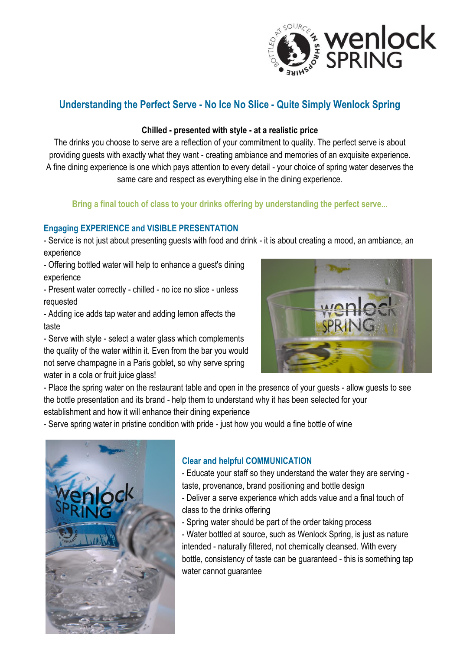

# **Understanding the Perfect Serve - No Ice No Slice - Quite Simply Wenlock Spring**

### **Chilled - presented with style - at a realistic price**

The drinks you choose to serve are a reflection of your commitment to quality. The perfect serve is about providing guests with exactly what they want - creating ambiance and memories of an exquisite experience. A fine dining experience is one which pays attention to every detail - your choice of spring water deserves the same care and respect as everything else in the dining experience.

## **Bring a final touch of class to your drinks offering by understanding the perfect serve...**

### **Engaging EXPERIENCE and VISIBLE PRESENTATION**

- Service is not just about presenting guests with food and drink - it is about creating a mood, an ambiance, an experience

- Offering bottled water will help to enhance a guest's dining experience

- Present water correctly - chilled - no ice no slice - unless requested

- Adding ice adds tap water and adding lemon affects the taste

- Serve with style - select a water glass which complements the quality of the water within it. Even from the bar you would not serve champagne in a Paris goblet, so why serve spring water in a cola or fruit juice glass!



- Place the spring water on the restaurant table and open in the presence of your guests - allow guests to see the bottle presentation and its brand - help them to understand why it has been selected for your establishment and how it will enhance their dining experience

- Serve spring water in pristine condition with pride - just how you would a fine bottle of wine



## **Clear and helpful COMMUNICATION**

- Educate your staff so they understand the water they are serving taste, provenance, brand positioning and bottle design

- Deliver a serve experience which adds value and a final touch of class to the drinks offering
- Spring water should be part of the order taking process

- Water bottled at source, such as Wenlock Spring, is just as nature intended - naturally filtered, not chemically cleansed. With every bottle, consistency of taste can be guaranteed - this is something tap water cannot guarantee